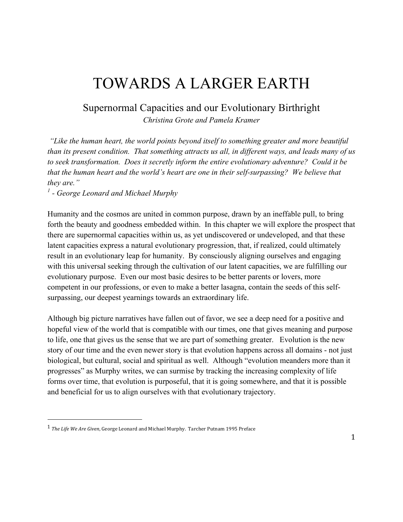# TOWARDS A LARGER EARTH

# Supernormal Capacities and our Evolutionary Birthright *Christina Grote and Pamela Kramer*

 *"Like the human heart, the world points beyond itself to something greater and more beautiful than its present condition. That something attracts us all, in different ways, and leads many of us to seek transformation. Does it secretly inform the entire evolutionary adventure? Could it be that the human heart and the world's heart are one in their self-surpassing? We believe that they are."* 

*<sup>1</sup> - George Leonard and Michael Murphy*

Humanity and the cosmos are united in common purpose, drawn by an ineffable pull, to bring forth the beauty and goodness embedded within. In this chapter we will explore the prospect that there are supernormal capacities within us, as yet undiscovered or undeveloped, and that these latent capacities express a natural evolutionary progression, that, if realized, could ultimately result in an evolutionary leap for humanity. By consciously aligning ourselves and engaging with this universal seeking through the cultivation of our latent capacities, we are fulfilling our evolutionary purpose. Even our most basic desires to be better parents or lovers, more competent in our professions, or even to make a better lasagna, contain the seeds of this selfsurpassing, our deepest yearnings towards an extraordinary life.

Although big picture narratives have fallen out of favor, we see a deep need for a positive and hopeful view of the world that is compatible with our times, one that gives meaning and purpose to life, one that gives us the sense that we are part of something greater. Evolution is the new story of our time and the even newer story is that evolution happens across all domains - not just biological, but cultural, social and spiritual as well. Although "evolution meanders more than it progresses" as Murphy writes, we can surmise by tracking the increasing complexity of life forms over time, that evolution is purposeful, that it is going somewhere, and that it is possible and beneficial for us to align ourselves with that evolutionary trajectory.

<sup>&</sup>lt;sup>1</sup> *The Life We Are Given*, George Leonard and Michael Murphy. Tarcher Putnam 1995 Preface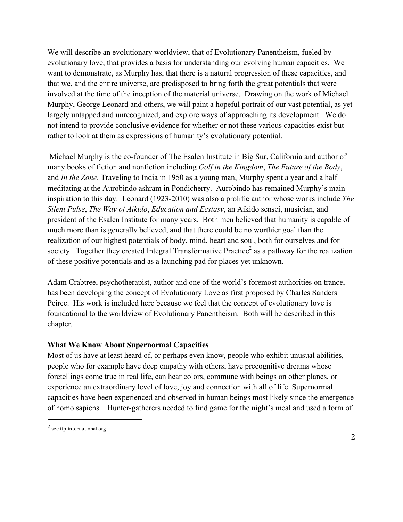We will describe an evolutionary worldview, that of Evolutionary Panentheism, fueled by evolutionary love, that provides a basis for understanding our evolving human capacities. We want to demonstrate, as Murphy has, that there is a natural progression of these capacities, and that we, and the entire universe, are predisposed to bring forth the great potentials that were involved at the time of the inception of the material universe. Drawing on the work of Michael Murphy, George Leonard and others, we will paint a hopeful portrait of our vast potential, as yet largely untapped and unrecognized, and explore ways of approaching its development. We do not intend to provide conclusive evidence for whether or not these various capacities exist but rather to look at them as expressions of humanity's evolutionary potential.

 Michael Murphy is the co-founder of The Esalen Institute in Big Sur, California and author of many books of fiction and nonfiction including *Golf in the Kingdom*, *The Future of the Body*, and *In the Zone*. Traveling to India in 1950 as a young man, Murphy spent a year and a half meditating at the Aurobindo ashram in Pondicherry. Aurobindo has remained Murphy's main inspiration to this day. Leonard (1923-2010) was also a prolific author whose works include *The Silent Pulse*, *The Way of Aikido*, *Education and Ecstasy*, an Aikido sensei, musician, and president of the Esalen Institute for many years. Both men believed that humanity is capable of much more than is generally believed, and that there could be no worthier goal than the realization of our highest potentials of body, mind, heart and soul, both for ourselves and for society. Together they created Integral Transformative Practice<sup>2</sup> as a pathway for the realization of these positive potentials and as a launching pad for places yet unknown.

Adam Crabtree, psychotherapist, author and one of the world's foremost authorities on trance, has been developing the concept of Evolutionary Love as first proposed by Charles Sanders Peirce. His work is included here because we feel that the concept of evolutionary love is foundational to the worldview of Evolutionary Panentheism. Both will be described in this chapter.

# **What We Know About Supernormal Capacities**

Most of us have at least heard of, or perhaps even know, people who exhibit unusual abilities, people who for example have deep empathy with others, have precognitive dreams whose foretellings come true in real life, can hear colors, commune with beings on other planes, or experience an extraordinary level of love, joy and connection with all of life. Supernormal capacities have been experienced and observed in human beings most likely since the emergence of homo sapiens. Hunter-gatherers needed to find game for the night's meal and used a form of

<sup>2</sup> see itp-international.org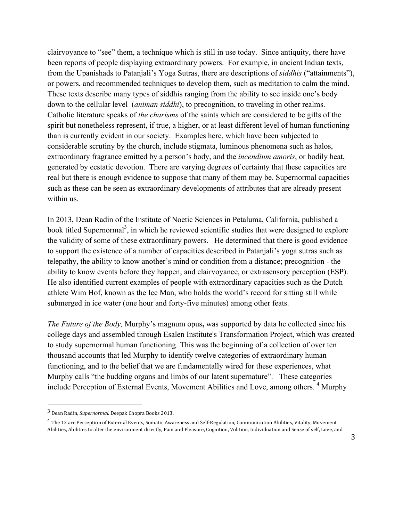clairvoyance to "see" them, a technique which is still in use today. Since antiquity, there have been reports of people displaying extraordinary powers. For example, in ancient Indian texts, from the Upanishads to Patanjali's Yoga Sutras, there are descriptions of *siddhis* ("attainments"), or powers, and recommended techniques to develop them, such as meditation to calm the mind. These texts describe many types of siddhis ranging from the ability to see inside one's body down to the cellular level (*animan siddhi*), to precognition, to traveling in other realms. Catholic literature speaks of *the charisms* of the saints which are considered to be gifts of the spirit but nonetheless represent, if true, a higher, or at least different level of human functioning than is currently evident in our society. Examples here, which have been subjected to considerable scrutiny by the church, include stigmata, luminous phenomena such as halos, extraordinary fragrance emitted by a person's body, and the *incendium amoris*, or bodily heat, generated by ecstatic devotion. There are varying degrees of certainty that these capacities are real but there is enough evidence to suppose that many of them may be. Supernormal capacities such as these can be seen as extraordinary developments of attributes that are already present within us.

In 2013, Dean Radin of the Institute of Noetic Sciences in Petaluma, California, published a book titled Supernormal<sup>3</sup>, in which he reviewed scientific studies that were designed to explore the validity of some of these extraordinary powers. He determined that there is good evidence to support the existence of a number of capacities described in Patanjali's yoga sutras such as telepathy, the ability to know another's mind or condition from a distance; precognition - the ability to know events before they happen; and clairvoyance, or extrasensory perception (ESP). He also identified current examples of people with extraordinary capacities such as the Dutch athlete Wim Hof, known as the Ice Man, who holds the world's record for sitting still while submerged in ice water (one hour and forty-five minutes) among other feats.

*The Future of the Body,* Murphy's magnum opus**,** was supported by data he collected since his college days and assembled through Esalen Institute's Transformation Project, which was created to study supernormal human functioning. This was the beginning of a collection of over ten thousand accounts that led Murphy to identify twelve categories of extraordinary human functioning, and to the belief that we are fundamentally wired for these experiences, what Murphy calls "the budding organs and limbs of our latent supernature". These categories include Perception of External Events, Movement Abilities and Love, among others. <sup>4</sup> Murphy

<sup>3</sup> Dean Radin, *Supernormal*. Deepak Chopra Books 2013.

<sup>&</sup>lt;sup>4</sup> The 12 are Perception of External Events, Somatic Awareness and Self-Regulation, Communication Abilities, Vitality, Movement Abilities, Abilities to alter the environment directly, Pain and Pleasure, Cognition, Volition, Individuation and Sense of self, Love, and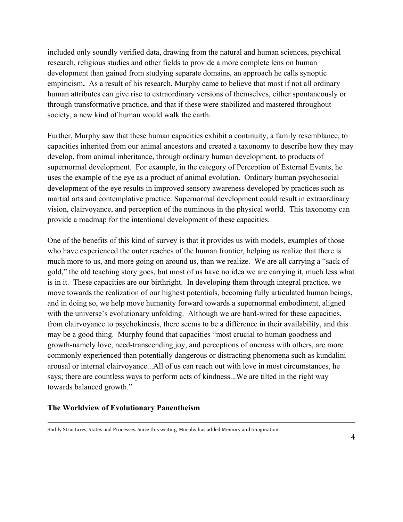included only soundly verified data, drawing from the natural and human sciences, psychical research, religious studies and other fields to provide a more complete lens on human development than gained from studying separate domains, an approach he calls synoptic empiricism**.** As a result of his research, Murphy came to believe that most if not all ordinary human attributes can give rise to extraordinary versions of themselves, either spontaneously or through transformative practice, and that if these were stabilized and mastered throughout society, a new kind of human would walk the earth.

Further, Murphy saw that these human capacities exhibit a continuity, a family resemblance, to capacities inherited from our animal ancestors and created a taxonomy to describe how they may develop, from animal inheritance, through ordinary human development, to products of supernormal development. For example, in the category of Perception of External Events, he uses the example of the eye as a product of animal evolution. Ordinary human psychosocial development of the eye results in improved sensory awareness developed by practices such as martial arts and contemplative practice. Supernormal development could result in extraordinary vision, clairvoyance, and perception of the numinous in the physical world. This taxonomy can provide a roadmap for the intentional development of these capacities.

One of the benefits of this kind of survey is that it provides us with models, examples of those who have experienced the outer reaches of the human frontier, helping us realize that there is much more to us, and more going on around us, than we realize. We are all carrying a "sack of gold," the old teaching story goes, but most of us have no idea we are carrying it, much less what is in it. These capacities are our birthright. In developing them through integral practice, we move towards the realization of our highest potentials, becoming fully articulated human beings, and in doing so, we help move humanity forward towards a supernormal embodiment, aligned with the universe's evolutionary unfolding. Although we are hard-wired for these capacities, from clairvoyance to psychokinesis, there seems to be a difference in their availability, and this may be a good thing. Murphy found that capacities "most crucial to human goodness and growth-namely love, need-transcending joy, and perceptions of oneness with others, are more commonly experienced than potentially dangerous or distracting phenomena such as kundalini arousal or internal clairvoyance...All of us can reach out with love in most circumstances, he says; there are countless ways to perform acts of kindness...We are tilted in the right way towards balanced growth."

<u> 1989 - Andrea Santa Andrea Santa Andrea Andrea Santa Andrea Andrea Andrea Andrea Andrea Andrea Andrea Andrea</u>

#### **The Worldview of Evolutionary Panentheism**

Bodily Structures, States and Processes. Since this writing, Murphy has added Memory and Imagination.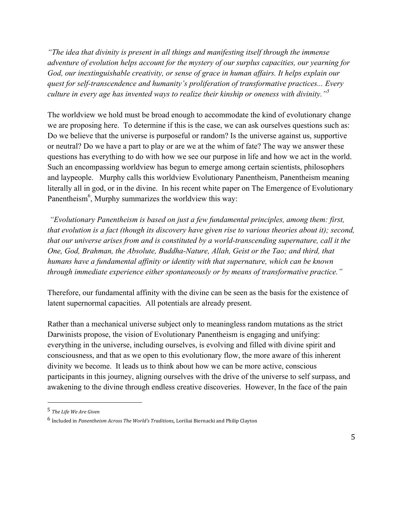*"The idea that divinity is present in all things and manifesting itself through the immense adventure of evolution helps account for the mystery of our surplus capacities, our yearning for God, our inextinguishable creativity, or sense of grace in human affairs. It helps explain our quest for self-transcendence and humanity's proliferation of transformative practices... Every culture in every age has invented ways to realize their kinship or oneness with divinity."<sup>5</sup>* 

The worldview we hold must be broad enough to accommodate the kind of evolutionary change we are proposing here. To determine if this is the case, we can ask ourselves questions such as: Do we believe that the universe is purposeful or random? Is the universe against us, supportive or neutral? Do we have a part to play or are we at the whim of fate? The way we answer these questions has everything to do with how we see our purpose in life and how we act in the world. Such an encompassing worldview has begun to emerge among certain scientists, philosophers and laypeople. Murphy calls this worldview Evolutionary Panentheism, Panentheism meaning literally all in god, or in the divine. In his recent white paper on The Emergence of Evolutionary Panentheism<sup>6</sup>, Murphy summarizes the worldview this way:

*"Evolutionary Panentheism is based on just a few fundamental principles, among them: first, that evolution is a fact (though its discovery have given rise to various theories about it); second, that our universe arises from and is constituted by a world-transcending supernature, call it the One, God, Brahman, the Absolute, Buddha-Nature, Allah, Geist or the Tao; and third, that humans have a fundamental affinity or identity with that supernature, which can be known through immediate experience either spontaneously or by means of transformative practice."* 

Therefore, our fundamental affinity with the divine can be seen as the basis for the existence of latent supernormal capacities. All potentials are already present.

Rather than a mechanical universe subject only to meaningless random mutations as the strict Darwinists propose, the vision of Evolutionary Panentheism is engaging and unifying: everything in the universe, including ourselves, is evolving and filled with divine spirit and consciousness, and that as we open to this evolutionary flow, the more aware of this inherent divinity we become. It leads us to think about how we can be more active, conscious participants in this journey, aligning ourselves with the drive of the universe to self surpass, and awakening to the divine through endless creative discoveries. However, In the face of the pain

<sup>5</sup> *The Life We Are Given*

<sup>6</sup> included in *Panentheism Across The World's Traditions*, Loriliai Biernacki and Philip Clayton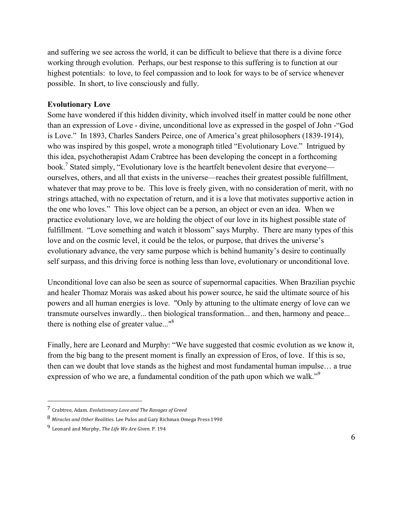and suffering we see across the world, it can be difficult to believe that there is a divine force working through evolution. Perhaps, our best response to this suffering is to function at our highest potentials: to love, to feel compassion and to look for ways to be of service whenever possible. In short, to live consciously and fully.

#### **Evolutionary Love**

Some have wondered if this hidden divinity, which involved itself in matter could be none other than an expression of Love - divine, unconditional love as expressed in the gospel of John -"God is Love." In 1893, Charles Sanders Peirce, one of America's great philosophers (1839-1914), who was inspired by this gospel, wrote a monograph titled "Evolutionary Love." Intrigued by this idea, psychotherapist Adam Crabtree has been developing the concept in a forthcoming book.<sup>7</sup> Stated simply, "Evolutionary love is the heartfelt benevolent desire that everyone ourselves, others, and all that exists in the universe—reaches their greatest possible fulfillment, whatever that may prove to be. This love is freely given, with no consideration of merit, with no strings attached, with no expectation of return, and it is a love that motivates supportive action in the one who loves." This love object can be a person, an object or even an idea. When we practice evolutionary love, we are holding the object of our love in its highest possible state of fulfillment. "Love something and watch it blossom" says Murphy. There are many types of this love and on the cosmic level, it could be the telos, or purpose, that drives the universe's evolutionary advance, the very same purpose which is behind humanity's desire to continually self surpass, and this driving force is nothing less than love, evolutionary or unconditional love.

Unconditional love can also be seen as source of supernormal capacities. When Brazilian psychic and healer Thomaz Morais was asked about his power source, he said the ultimate source of his powers and all human energies is love. "Only by attuning to the ultimate energy of love can we transmute ourselves inwardly... then biological transformation... and then, harmony and peace... there is nothing else of greater value..."<sup>8</sup>

Finally, here are Leonard and Murphy: "We have suggested that cosmic evolution as we know it, from the big bang to the present moment is finally an expression of Eros, of love. If this is so, then can we doubt that love stands as the highest and most fundamental human impulse… a true expression of who we are, a fundamental condition of the path upon which we walk."<sup>9</sup>

<sup>7</sup> Crabtree, Adam. *Evolutionary Love and The Ravages of Greed*

<sup>8</sup> *Miracles and Other Realities*. Lee Pulos and Gary Richman Omega Press 1990

<sup>9</sup> Leonard and Murphy, *The Life We Are Given*. P. 194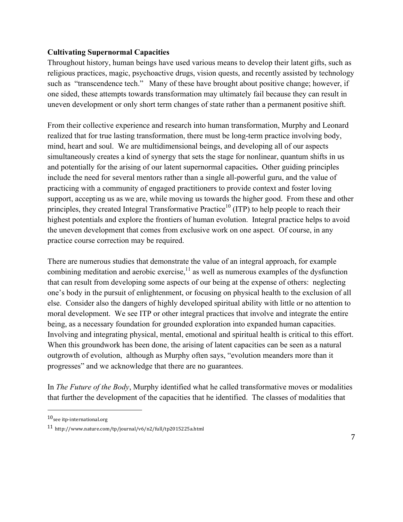#### **Cultivating Supernormal Capacities**

Throughout history, human beings have used various means to develop their latent gifts, such as religious practices, magic, psychoactive drugs, vision quests, and recently assisted by technology such as "transcendence tech." Many of these have brought about positive change; however, if one sided, these attempts towards transformation may ultimately fail because they can result in uneven development or only short term changes of state rather than a permanent positive shift.

From their collective experience and research into human transformation, Murphy and Leonard realized that for true lasting transformation, there must be long-term practice involving body, mind, heart and soul. We are multidimensional beings, and developing all of our aspects simultaneously creates a kind of synergy that sets the stage for nonlinear, quantum shifts in us and potentially for the arising of our latent supernormal capacities**.** Other guiding principles include the need for several mentors rather than a single all-powerful guru, and the value of practicing with a community of engaged practitioners to provide context and foster loving support, accepting us as we are, while moving us towards the higher good. From these and other principles, they created Integral Transformative Practice<sup>10</sup> (ITP) to help people to reach their highest potentials and explore the frontiers of human evolution. Integral practice helps to avoid the uneven development that comes from exclusive work on one aspect. Of course, in any practice course correction may be required.

There are numerous studies that demonstrate the value of an integral approach, for example combining meditation and aerobic exercise, $11$  as well as numerous examples of the dysfunction that can result from developing some aspects of our being at the expense of others: neglecting one's body in the pursuit of enlightenment, or focusing on physical health to the exclusion of all else. Consider also the dangers of highly developed spiritual ability with little or no attention to moral development. We see ITP or other integral practices that involve and integrate the entire being, as a necessary foundation for grounded exploration into expanded human capacities. Involving and integrating physical, mental, emotional and spiritual health is critical to this effort. When this groundwork has been done, the arising of latent capacities can be seen as a natural outgrowth of evolution, although as Murphy often says, "evolution meanders more than it progresses" and we acknowledge that there are no guarantees.

In *The Future of the Body*, Murphy identified what he called transformative moves or modalities that further the development of the capacities that he identified. The classes of modalities that

 $10<sub>see</sub>$  itp-international.org

<sup>11</sup> http://www.nature.com/tp/journal/v6/n2/full/tp2015225a.html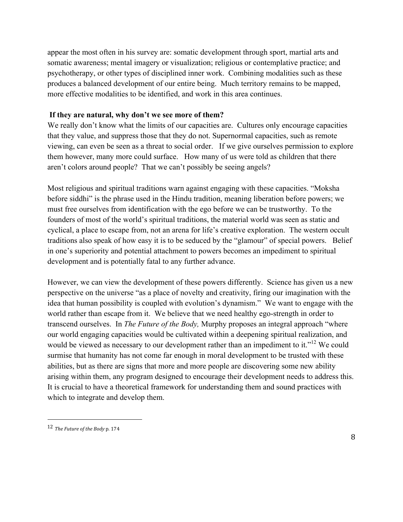appear the most often in his survey are: somatic development through sport, martial arts and somatic awareness; mental imagery or visualization; religious or contemplative practice; and psychotherapy, or other types of disciplined inner work. Combining modalities such as these produces a balanced development of our entire being. Much territory remains to be mapped, more effective modalities to be identified, and work in this area continues.

#### **If they are natural, why don't we see more of them?**

We really don't know what the limits of our capacities are. Cultures only encourage capacities that they value, and suppress those that they do not. Supernormal capacities, such as remote viewing, can even be seen as a threat to social order. If we give ourselves permission to explore them however, many more could surface. How many of us were told as children that there aren't colors around people? That we can't possibly be seeing angels?

Most religious and spiritual traditions warn against engaging with these capacities. "Moksha before siddhi" is the phrase used in the Hindu tradition, meaning liberation before powers; we must free ourselves from identification with the ego before we can be trustworthy. To the founders of most of the world's spiritual traditions, the material world was seen as static and cyclical, a place to escape from, not an arena for life's creative exploration. The western occult traditions also speak of how easy it is to be seduced by the "glamour" of special powers. Belief in one's superiority and potential attachment to powers becomes an impediment to spiritual development and is potentially fatal to any further advance.

However, we can view the development of these powers differently. Science has given us a new perspective on the universe "as a place of novelty and creativity, firing our imagination with the idea that human possibility is coupled with evolution's dynamism." We want to engage with the world rather than escape from it. We believe that we need healthy ego-strength in order to transcend ourselves. In *The Future of the Body,* Murphy proposes an integral approach "where our world engaging capacities would be cultivated within a deepening spiritual realization, and would be viewed as necessary to our development rather than an impediment to it."<sup>12</sup> We could surmise that humanity has not come far enough in moral development to be trusted with these abilities, but as there are signs that more and more people are discovering some new ability arising within them, any program designed to encourage their development needs to address this. It is crucial to have a theoretical framework for understanding them and sound practices with which to integrate and develop them.

<sup>12</sup> *The Future of the Body* p. 174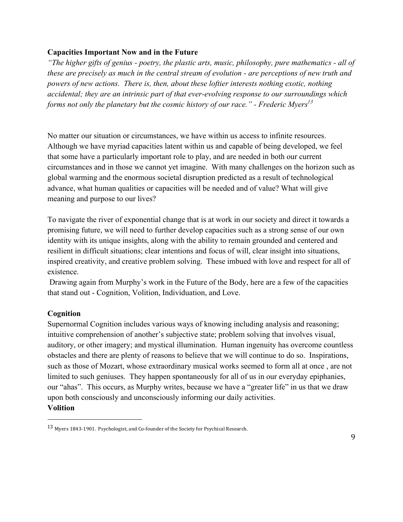# **Capacities Important Now and in the Future**

*"The higher gifts of genius - poetry, the plastic arts, music, philosophy, pure mathematics - all of these are precisely as much in the central stream of evolution - are perceptions of new truth and powers of new actions. There is, then, about these loftier interests nothing exotic, nothing accidental; they are an intrinsic part of that ever-evolving response to our surroundings which forms not only the planetary but the cosmic history of our race." - Frederic Myers*<sup>13</sup>

No matter our situation or circumstances, we have within us access to infinite resources. Although we have myriad capacities latent within us and capable of being developed, we feel that some have a particularly important role to play, and are needed in both our current circumstances and in those we cannot yet imagine. With many challenges on the horizon such as global warming and the enormous societal disruption predicted as a result of technological advance, what human qualities or capacities will be needed and of value? What will give meaning and purpose to our lives?

To navigate the river of exponential change that is at work in our society and direct it towards a promising future, we will need to further develop capacities such as a strong sense of our own identity with its unique insights, along with the ability to remain grounded and centered and resilient in difficult situations; clear intentions and focus of will, clear insight into situations, inspired creativity, and creative problem solving. These imbued with love and respect for all of existence.

 Drawing again from Murphy's work in the Future of the Body, here are a few of the capacities that stand out - Cognition, Volition, Individuation, and Love.

# **Cognition**

 

Supernormal Cognition includes various ways of knowing including analysis and reasoning; intuitive comprehension of another's subjective state; problem solving that involves visual, auditory, or other imagery; and mystical illumination. Human ingenuity has overcome countless obstacles and there are plenty of reasons to believe that we will continue to do so. Inspirations, such as those of Mozart, whose extraordinary musical works seemed to form all at once , are not limited to such geniuses. They happen spontaneously for all of us in our everyday epiphanies, our "ahas". This occurs, as Murphy writes, because we have a "greater life" in us that we draw upon both consciously and unconsciously informing our daily activities. **Volition**

<sup>13</sup> Myers 1843-1901. Psychologist, and Co-founder of the Society for Psychical Research.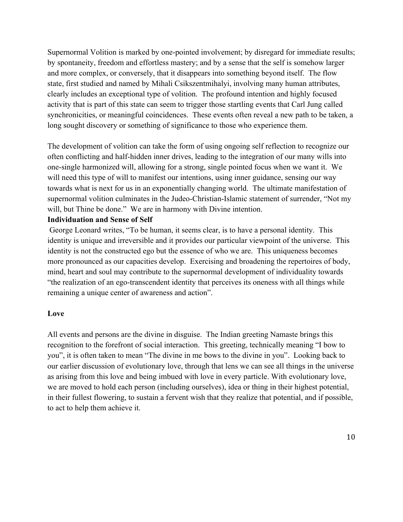Supernormal Volition is marked by one-pointed involvement; by disregard for immediate results; by spontaneity, freedom and effortless mastery; and by a sense that the self is somehow larger and more complex, or conversely, that it disappears into something beyond itself. The flow state, first studied and named by Mihali Csikszentmihalyi, involving many human attributes, clearly includes an exceptional type of volition. The profound intention and highly focused activity that is part of this state can seem to trigger those startling events that Carl Jung called synchronicities, or meaningful coincidences. These events often reveal a new path to be taken, a long sought discovery or something of significance to those who experience them.

The development of volition can take the form of using ongoing self reflection to recognize our often conflicting and half-hidden inner drives, leading to the integration of our many wills into one-single harmonized will, allowing for a strong, single pointed focus when we want it. We will need this type of will to manifest our intentions, using inner guidance, sensing our way towards what is next for us in an exponentially changing world. The ultimate manifestation of supernormal volition culminates in the Judeo-Christian-Islamic statement of surrender, "Not my will, but Thine be done." We are in harmony with Divine intention.

# **Individuation and Sense of Self**

 George Leonard writes, "To be human, it seems clear, is to have a personal identity. This identity is unique and irreversible and it provides our particular viewpoint of the universe. This identity is not the constructed ego but the essence of who we are. This uniqueness becomes more pronounced as our capacities develop. Exercising and broadening the repertoires of body, mind, heart and soul may contribute to the supernormal development of individuality towards "the realization of an ego-transcendent identity that perceives its oneness with all things while remaining a unique center of awareness and action".

#### **Love**

All events and persons are the divine in disguise. The Indian greeting Namaste brings this recognition to the forefront of social interaction. This greeting, technically meaning "I bow to you", it is often taken to mean "The divine in me bows to the divine in you". Looking back to our earlier discussion of evolutionary love, through that lens we can see all things in the universe as arising from this love and being imbued with love in every particle. With evolutionary love, we are moved to hold each person (including ourselves), idea or thing in their highest potential, in their fullest flowering, to sustain a fervent wish that they realize that potential, and if possible, to act to help them achieve it.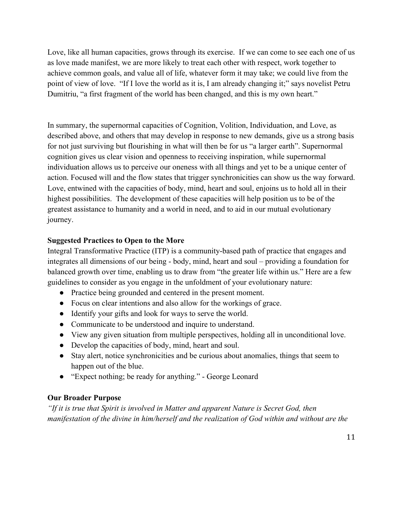Love, like all human capacities, grows through its exercise. If we can come to see each one of us as love made manifest, we are more likely to treat each other with respect, work together to achieve common goals, and value all of life, whatever form it may take; we could live from the point of view of love. "If I love the world as it is, I am already changing it;" says novelist Petru Dumitriu, "a first fragment of the world has been changed, and this is my own heart."

In summary, the supernormal capacities of Cognition, Volition, Individuation, and Love, as described above, and others that may develop in response to new demands, give us a strong basis for not just surviving but flourishing in what will then be for us "a larger earth". Supernormal cognition gives us clear vision and openness to receiving inspiration, while supernormal individuation allows us to perceive our oneness with all things and yet to be a unique center of action. Focused will and the flow states that trigger synchronicities can show us the way forward. Love, entwined with the capacities of body, mind, heart and soul, enjoins us to hold all in their highest possibilities. The development of these capacities will help position us to be of the greatest assistance to humanity and a world in need, and to aid in our mutual evolutionary journey.

# **Suggested Practices to Open to the More**

Integral Transformative Practice (ITP) is a community-based path of practice that engages and integrates all dimensions of our being - body, mind, heart and soul – providing a foundation for balanced growth over time, enabling us to draw from "the greater life within us." Here are a few guidelines to consider as you engage in the unfoldment of your evolutionary nature:

- Practice being grounded and centered in the present moment.
- Focus on clear intentions and also allow for the workings of grace.
- Identify your gifts and look for ways to serve the world.
- Communicate to be understood and inquire to understand.
- View any given situation from multiple perspectives, holding all in unconditional love.
- Develop the capacities of body, mind, heart and soul.
- Stay alert, notice synchronicities and be curious about anomalies, things that seem to happen out of the blue.
- "Expect nothing; be ready for anything." George Leonard

# **Our Broader Purpose**

*"If it is true that Spirit is involved in Matter and apparent Nature is Secret God, then manifestation of the divine in him/herself and the realization of God within and without are the*